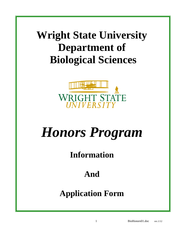## **Wright State University Department of Biological Sciences**



# *Honors Program*

### **Information**

### **And**

### **Application Form**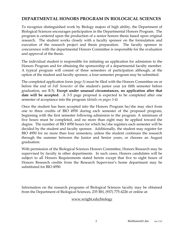#### **DEPARTMENTAL HONORS PROGRAM IN BIOLOGICAL SCIENCES**

To recognize distinguished work by Biology majors of high ability, the Department of Biological Sciences encourages participation in the Departmental Honors Program. The program is centered upon the production of a senior honors thesis based upon original research. The student works closely with a faculty sponsor on the formulation and execution of the research project and thesis preparation. The faculty sponsor in concurrence with the departmental Honors Committee is responsible for the evaluation and approval of the thesis.

The individual student is responsible for initiating an application for admission to the Honors Program and for obtaining the sponsorship of a departmental faculty member. A typical program will consist of three semesters of participation although, at the option of the student and faculty sponsor, a four-semester program may be submitted.

The completed application form *(page 5)* must be filed with the Honors Committee on or before the end of *Fall Semester* of the student's junior year (or fifth semester before graduation, see B.5). **Except under unusual circumstances, no application after that date will be accepted**. A 3-5 page proposal is expected to be completed after one semester of acceptance into the program *(details on pages 3-4)*

Once the student has been accepted into the Honors Program he/she may elect from one to three credits of BIO 4950 during each semester of the proposed program, beginning with the first semester following admission to the program. A minimum of five hours must be completed, and no more than eight may be applied toward the degree. The number of BIO 4950 hours for which he/she registers each semester will be decided by the student and faculty sponsor. Additionally, the student may register for BIO 4950 for no more than four semesters, unless the student continues the research through the summer between the Junior and Senior years, or chooses an August graduation.

With permission of the Biological Sciences Honors Committee, Honors Research may be supervised by faculty in other departments. In such cases, Honors candidates will be subject to all Honors Requirements stated herein except that five to eight hours of Honors Research credits from the Research Supervisor's home department may be substituted for BIO 4950.

Information on the research programs of Biological Sciences faculty may be obtained from the Department of Biological Sciences, 235 BH, (937) 775-4226 or online at:

#### [www.wright.edu/biology](http://biology.wright.edu/BioSite/facultyFrame.html)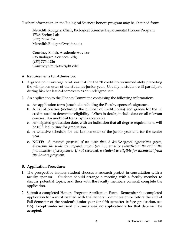Further information on the Biological Sciences honors program may be obtained from:

Meredith Rodgers, Chair, Biological Sciences Departmental Honors Program 173A Brehm Lab (937) 775-2374 Meredith.Rodgers@wright.edu

Courtney Smith, Academic Advisor 235 Biological Sciences Bldg. (937) 775-4226 Courtney.Smith@wright.edu

#### **A. Requirements for Admission:**

- 1. A grade point average of at least 3.4 for the 30 credit hours immediately preceding the winter semester of the student's junior year. Usually, a student will participate during his/her last 3-4 semesters as an undergraduate.
- 2. An application to the Honors Committee containing the following information:
	- a. An application form (attached) including the Faculty sponsor's signature.
	- b. A list of courses (including the number of credit hours) and grades for the 30 credits used to determine eligibility. When in doubt, include data on all relevant courses. An unofficial transcript is acceptable.
	- c. Anticipated graduation date, with an indication that all degree requirements will be fulfilled in time for graduation.
	- d. A tentative schedule for the last semester of the junior year and for the senior year.
	- **e. NOTE:** *A research proposal of no more than 5 double-spaced typewritten pages, discussing the student's proposed project (see B.3) must be submitted at the end of the first semester of acceptance. If not received, a student is eligible for dismissal from the honors program.*

#### **B. Application Procedure:**

- 1. The prospective Honors student chooses a research project in consultation with a faculty sponsor. Students should arrange a meeting with a faculty member to discuss potential topics, and then with the faculty members consent, complete the application.
- 2. Submit a completed Honors Program Application Form. Remember the completed application form must be filed with the Honors Committee on or before the end of Fall Semester of the student's junior year (or fifth semester before graduation, see B.5). **Except under unusual circumstances, no application after that date will be accepted**.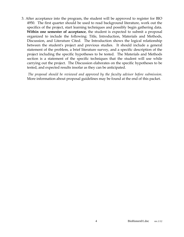3. After acceptance into the program, the student will be approved to register for BIO 4950. The first quarter should be used to read background literature, work out the specifics of the project, start learning techniques and possibly begin gathering data. **Within one semester of acceptance**, the student is expected to submit a proposal organized to include the following: Title, Introduction, Materials and Methods, Discussion, and Literature Cited. The Introduction shows the logical relationship between the student's project and previous studies. It should include a general statement of the problem, a brief literature survey, and a specific description of the project including the specific hypotheses to be tested. The Materials and Methods section is a statement of the specific techniques that the student will use while carrying out the project. The Discussion elaborates on the specific hypotheses to be tested, and expected results insofar as they can be anticipated.

*The proposal should be reviewed and approved by the faculty advisor before submission.*  More information about proposal guidelines may be found at the end of this packet.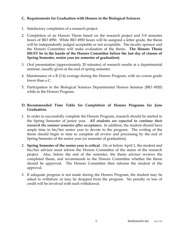#### **C. Requirements for Graduation with Honors in the Biological Sciences**

- 1. Satisfactory completion of a research project.
- 2. Completion of an Honors Thesis based on the research project and 5-8 semester hours of BIO 4950. While BIO 4950 hours will be assigned a letter grade, the thesis will be independently judged acceptable or not acceptable. The faculty sponsor and the Honors Committee will make evaluation of the thesis**. The Honors Thesis MUST be in the hands of the Honors Committee before the last day of classes of Spring Semester, senior year (or semester of graduation)**.
- 3. Oral presentation (approximately 20 minutes) of research results at a departmental seminar, usually given at the end of spring semester.
- 4. Maintenance of a B (3.4) average during the Honors Program, with no course grade lower than a C.
- 5. Participation in the Biological Sciences Departmental Honors Seminar (BIO 4920) while in the Honors Program.

#### **D. Recommended Time Table for Completion of Honors Programs for June Graduation.**

- 1. In order to successfully complete the Honors Program, research should be started in the Spring Semester of junior year. *All students are expected to continue their research the summer semester after acceptance.* In addition, the student should have ample time in his/her senior year to devote to the program. The writing of the thesis should begin in time to complete all review and processing by the end of Spring Semester of the senior year (or semester of graduation).
- 2. **Spring Semester of the senior year is critical**. On or before April 1, the student and his/her advisor must inform the Honors Committee of the status of the research project. Also, before the end of the semester, the thesis advisor reviews the completed thesis, and recommends to the Honors Committee whether the thesis should be approved. The Honors Committee then informs the student of the approval.
- 3. If adequate progress is not made during the Honors Program, the student may be asked to withdraw or may be dropped from the program. No penalty or loss of credit will be involved with such withdrawal.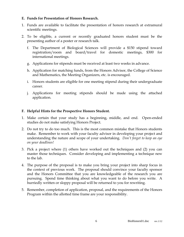#### **E. Funds for Presentation of Honors Research.**

- 1. Funds are available to facilitate the presentation of honors research at extramural scientific meetings.
- 2. To be eligible, a current or recently graduated honors student must be the presenting author of a poster or research talk.
	- f. The Department of Biological Sciences will provide a \$150 stipend toward registration/room and board/travel for domestic meetings, \$300 for international meetings.
	- g. Applications for stipends must be received at least two weeks in advance.
	- h. Application for matching funds, from the Honors Advisor, the College of Science and Mathematics, the Meeting Organizers, etc. is encouraged.
	- i. Honors students are eligible for one meeting stipend during their undergraduate career.
	- j. Applications for meeting stipends should be made using the attached application.

#### **F. Helpful Hints for the Prospective Honors Student.**

- 1. Make certain that your study has a beginning, middle, and end. Open-ended studies do not make satisfying Honors Project.
- 2. Do not try to do too much. This is the most common mistake that Honors students make. Remember to work with your faculty advisor in developing your project and understanding the nature and scope of your undertaking. *Don't forget to keep an eye on your deadlines!*
- 3. Pick a project where (1) others have worked out the techniques and (2) you can master those techniques. Consider developing and implementing a technique new to the lab.
- 4. The purpose of the proposal is to make you bring your project into sharp focus in the context of previous work. The proposal should convince your faculty sponsor and the Honors Committee that you are knowledgeable of the research you are pursuing. Spend time thinking about what you want to do before you write. A hurriedly written or sloppy proposal will be returned to you for rewriting.
- 5. Remember, completion of application, proposal, and the requirements of the Honors Program within the allotted time frame are your responsibility.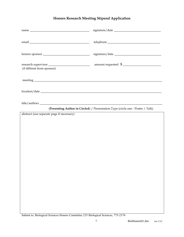#### **Honors Research Meeting Stipend Application**

| $name \begin{tabular}{c} \textbf{name} \end{tabular}$                                                                                                                                                                                |                                                                                 |
|--------------------------------------------------------------------------------------------------------------------------------------------------------------------------------------------------------------------------------------|---------------------------------------------------------------------------------|
|                                                                                                                                                                                                                                      |                                                                                 |
|                                                                                                                                                                                                                                      | $signature/date \_\_\_\_\_\_\_ \_ \_ \_ \_ \_ \_ \_ \_ \_ \_$                   |
| (if different from sponsor)                                                                                                                                                                                                          | research supervisor $\frac{1}{\sqrt{2}}$ amount requested $\frac{1}{\sqrt{2}}$  |
| meeting <u>successive and the second contract of the second contract of the second contract of the second contract of the second contract of the second contract of the second contract of the second contract of the second con</u> |                                                                                 |
|                                                                                                                                                                                                                                      |                                                                                 |
|                                                                                                                                                                                                                                      | (Presenting Author in Circled) / Presentation Type (circle one - Poster / Talk) |
| abstract (use separate page if necessary)                                                                                                                                                                                            |                                                                                 |
|                                                                                                                                                                                                                                      |                                                                                 |
|                                                                                                                                                                                                                                      |                                                                                 |
|                                                                                                                                                                                                                                      |                                                                                 |
|                                                                                                                                                                                                                                      |                                                                                 |
|                                                                                                                                                                                                                                      |                                                                                 |
|                                                                                                                                                                                                                                      |                                                                                 |
|                                                                                                                                                                                                                                      |                                                                                 |
|                                                                                                                                                                                                                                      |                                                                                 |
|                                                                                                                                                                                                                                      |                                                                                 |
|                                                                                                                                                                                                                                      |                                                                                 |
|                                                                                                                                                                                                                                      |                                                                                 |
|                                                                                                                                                                                                                                      |                                                                                 |
|                                                                                                                                                                                                                                      |                                                                                 |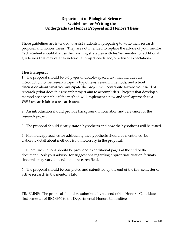#### **Department of Biological Sciences Guidelines for Writing the Undergraduate Honors Proposal and Honors Thesis**

These guidelines are intended to assist students in preparing to write their research proposal and honors thesis. They are not intended to replace the advice of your mentor. Each student should discuss their writing strategies with his/her mentor for additional guidelines that may cater to individual project needs and/or advisor expectations.

#### **Thesis Proposal**

1. The proposal should be 3-5 pages of double- spaced text that includes an introduction to the research topic, a hypothesis, research methods, and a brief discussion about what you anticipate the project will contribute toward your field of research (what does this research project aim to accomplish?). Projects that develop a method are acceptable if the method will implement a new and vital approach to a WSU research lab or a research area.

2. An introduction should provide background information and relevance for the research project.

3. The proposal should clearly state a hypothesis and how the hypothesis will be tested.

4. Methods/approaches for addressing the hypothesis should be mentioned, but elaborate detail about methods is not necessary in the proposal.

5. Literature citations should be provided as additional pages at the end of the document. Ask your advisor for suggestions regarding appropriate citation formats, since this may vary depending on research field.

6. The proposal should be completed and submitted by the end of the first semester of active research in the mentor's lab.

TIMELINE: The proposal should be submitted by the end of the Honor's Candidate's first semester of BIO 4950 to the Departmental Honors Committee.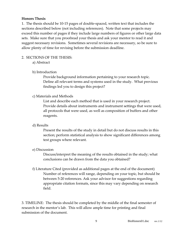#### **Honors Thesis**

1. The thesis should be 10-15 pages of double-spaced, written text that includes the sections described below (not including references). Note that some projects may exceed this number of pages if they include large numbers of figures or other large data sets. Make sure that you proofread your thesis and ask your mentor to read it and suggest necessary revisions. Sometimes several revisions are necessary, so be sure to allow plenty of time for revising before the submission deadline.

#### 2. SECTIONS OF THE THESIS:

a) Abstract

#### b) Introduction

Provide background information pertaining to your research topic. Define all relevant terms and systems used in the study. What previous findings led you to design this project?

#### c) Materials and Methods

List and describe each method that is used in your research project. Provide details about instruments and instrument settings that were used, all protocols that were used, as well as composition of buffers and other reagents.

#### d) Results

Present the results of the study in detail but do not discuss results in this section; perform statistical analysis to show significant differences among test groups where relevant.

#### e) Discussion

Discuss/interpret the meaning of the results obtained in the study; what conclusions can be drawn from the data you obtained?

f) Literature Cited (provided as additional pages at the end of the document) Number of references will range, depending on your topic, but should be between 5-20 references. Ask your advisor for suggestions regarding appropriate citation formats, since this may vary depending on research field.

3. TIMELINE: The thesis should be completed by the middle of the final semester of research in the mentor's lab. This will allow ample time for printing and final submission of the document.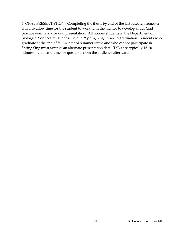4. ORAL PRESENTATION: Completing the thesis by end of the last research semester will also allow time for the student to work with the mentor to develop slides (and practice your talk!) for oral presentation. All honors students in the Department of Biological Sciences must participate in "Spring Sing" prior to graduation. Students who graduate at the end of fall, winter or summer terms and who cannot participate in Spring Sing must arrange an alternate presentation date. Talks are typically 15-20 minutes, with extra time for questions from the audience afterward.